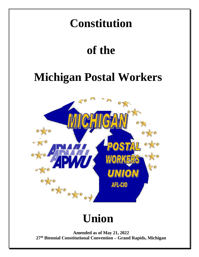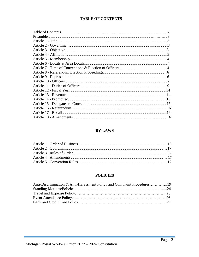# **TABLE OF CONTENTS**

| Article 17 - Recall 2000 and the contract of the contract of the contract of the contract of the contract of the contract of the contract of the contract of the contract of the contract of the contract of the contract of t |  |
|--------------------------------------------------------------------------------------------------------------------------------------------------------------------------------------------------------------------------------|--|
|                                                                                                                                                                                                                                |  |
|                                                                                                                                                                                                                                |  |

# **BY-LAWS**

| Article 3 Rules of Order |  |
|--------------------------|--|
|                          |  |
|                          |  |

## **POLICIES**

| Anti-Discrimination & Anti-Harassment Policy and Complaint Procedures19 |  |
|-------------------------------------------------------------------------|--|
|                                                                         |  |
|                                                                         |  |
|                                                                         |  |
|                                                                         |  |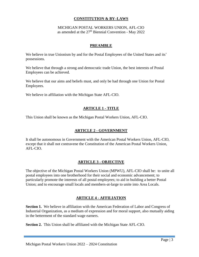## **CONSTITUTION & BY–LAWS**

### MICHIGAN POSTAL WORKERS UNION, AFL-CIO as amended at the  $27<sup>th</sup>$  Biennial Convention - May 2022

### **PREAMBLE**

We believe in true Unionism by and for the Postal Employees of the United States and its' possessions.

We believe that through a strong and democratic trade Union, the best interests of Postal Employees can be achieved.

We believe that our aims and beliefs must, and only be had through one Union for Postal Employees.

We believe in affiliation with the Michigan State AFL-CIO.

## **ARTICLE 1 - TITLE**

This Union shall be known as the Michigan Postal Workers Union, AFL-CIO.

### **ARTICLE 2 - GOVERNMENT**

It shall be autonomous in Government with the American Postal Workers Union, AFL-CIO, except that it shall not contravene the Constitution of the American Postal Workers Union, AFL-CIO.

### **ARTICLE 3 - OBJECTIVE**

The objective of the Michigan Postal Workers Union (MPWU), AFL-CIO shall be: to unite all postal employees into one brotherhood for their social and economic advancement; to particularly promote the interests of all postal employees; to aid in building a better Postal Union; and to encourage small locals and members-at-large to unite into Area Locals.

## **ARTICLE 4 - AFFILIATION**

**Section 1.** We believe in affiliation with the American Federation of Labor and Congress of Industrial Organization, as a medium of expression and for moral support, also mutually aiding in the betterment of the standard wage earners.

**Section 2.** This Union shall be affiliated with the Michigan State AFL-CIO.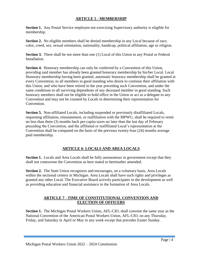# **ARTICLE 5 - MEMBERSHIP**

**Section 1.** Any Postal Service employee not exercising Supervisory authority is eligible for membership.

**Section 2.** No eligible members shall be denied membership in any Local because of race, color, creed, sex, sexual orientation, nationality, handicap, political affiliation, age or religion.

**Section 3.** There shall be not more than one (1) Local of this Union in any Postal or Federal Installation.

**Section 4.** Honorary membership can only be conferred by a Convention of this Union, providing said member has already been granted honorary membership by his/her Local. Local Honorary membership having been granted, automatic honorary membership shall be granted at every Convention, to all members in good standing who desire to continue their affiliation with this Union, and who have been retired in the year preceding such Convention, and under the same conditions to all surviving dependents of any deceased member in good standing. Such honorary members shall not be eligible to hold office in the Union or act as a delegate to any Convention and may not be counted by Locals in determining their representation for Convention.

**Section 5.** Non-affiliated Locals, including suspended or previously disaffiliated Locals, requesting affiliation, reinstatement, or reaffiliation with the MPWU, shall be required to remit no less than three (3) months back per-capita taxes no later than the last day of February preceding the Convention, and the affiliated or reaffiliated Local's representation at the Convention shall be computed on the basis of the previous twenty-four (24) months average paid membership.

# **ARTICLE 6- LOCALS AND AREA LOCALS**

**Section 1.** Locals and Area Locals shall be fully autonomous in government except that they shall not contravene the Convention as here stated or hereinafter amended.

**Section 2.** The State Union recognizes and encourages, on a voluntary basis, Area Locals within the sectional centers in Michigan. Area Locals shall have such rights and privileges as granted any other Local. The Executive Board actively participates in the development as well as providing education and financial assistance in the formation of Area Locals.

## **ARTICLE 7 - TIME OF CONSTITUTIONAL CONVENTION AND ELECTION OF OFFICERS**

**Section 1.** The Michigan Postal Workers Union, AFL-CIO, shall convene the same year as the National Convention of the American Postal Workers Union, AFL-CIO, on any Thursday, Friday, and Saturday in April or May in any week except that precedes Easter Sunday.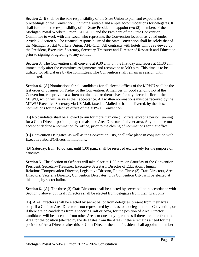**Section 2.** It shall be the sole responsibility of the State Union to plan and expedite the proceedings of the Convention, including suitable and ample accommodations for delegates. It shall further be the responsibility of the State President to appoint two (2) members of the Michigan Postal Workers Union, AFL-CIO, and the President of the State Convention Committee to work with any Local who represents the Convention location as voted under Article 7, Section 5. The financial responsibility of the State Convention shall be solely that of the Michigan Postal Workers Union, AFL-CIO. All contracts with hotels will be reviewed by the President, Executive Secretary, Secretary-Treasurer and Director of Research and Education prior to signing or agreeing to any contract.

**Section 3.** The Convention shall convene at 9:30 a.m. on the first day and recess at 11:30 a.m., immediately after the committee assignments and reconvene at 3:00 p.m. This time is to be utilized for official use by the committees. The Convention shall remain in session until completed.

**Section 4.** [A] Nominations for all candidates for all elected offices of the MPWU shall be the last order of business on Friday of the Convention. A member, in good standing not at the Convention, can provide a written nomination for themselves for any elected office of the MPWU, which will serve as their acceptance. All written nominations must be received by the MPWU Executive Secretary via US Mail, faxed, e-Mailed or hand delivered, by the close of nominations for the elective office of the MPWU Convention.

[B] No candidate shall be allowed to run for more than one (1) office, except a person running for a Craft Director position, may run also for Area Director of his/her area. Any nominee must accept or decline a nomination for office, prior to the closing of nominations for that office.

[C] Convention Delegates, as well as the Convention City, shall take place in conjunction with Executive Board/Officers nominations.

[D] Saturday**,** from 10:00 a.m. until 1:00 p.m., shall be reserved exclusively for the purpose of caucuses.

**Section 5.** The election of Officers will take place at 1:00 p.m. on Saturday of the Convention. President, Secretary-Treasurer, Executive Secretary, Director of Education, Human Relations/Compensation Director, Legislative Director, Editor, Three (3) Craft Directors, Area Directors, Veterans Director, Convention Delegates, plus Convention City, will be elected at this time, by secret ballot.

**Section 6.** [A]. The three (3) Craft Directors shall be elected by secret ballot in accordance with Section 5 above, but Craft Directors shall be elected from delegates from their Craft only.

[B]. Area Directors shall be elected by secret ballot from delegates, present from their Area only. If a Craft or Area Director is not represented by at least one delegate to the Convention, or if there are no candidates from a specific Craft or Area, for the position of Area Director candidates will be accepted from other Areas or dues-paying retirees if there are none from the Area for the position (elected by the delegates from the Area), if there remains a need for the position of Area Director after this or Craft Director then the President shall appoint a member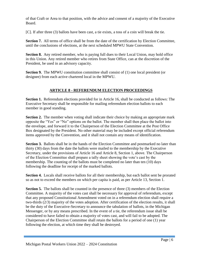of that Craft or Area to that position, with the advice and consent of a majority of the Executive Board.

[C]. If after three (3) ballots have been cast, a tie exists, a toss of a coin will break the tie.

**Section 7.** All terms of office shall be from the date of the certification by Election Committee, until the conclusions of elections, at the next scheduled MPWU State Convention.

**Section 8.** Any retired member, who is paying full dues to their Local Union, may hold office in this Union. Any retired member who retires from State Office, can at the discretion of the President, be used in an advisory capacity.

**Section 9.** The MPWU constitution committee shall consist of (1) one local president (or designee) from each active chartered local in the MPWU.

## **ARTICLE 8 - REFERENDUM ELECTION PROCEEDINGS**

**Section 1.** Referendum elections provided for in Article 16, shall be conducted as follows: The Executive Secretary shall be responsible for mailing referendum election ballots to each member in good standing.

**Section 2.** The member when voting shall indicate their choice by making an appropriate mark opposite the "Yes" or "No" options on the ballot. The member shall then place the ballot into the envelope, and forward it to the Chairperson of the Election Committee at the Post Office Box designated by the President. No other material may be included except official referendum items approved by the Convention, and it shall not contain any means of identification.

**Section 3.** Ballots shall be in the hands of the Election Committee and postmarked no later than thirty (30) days from the date the ballots were mailed to the membership by the Executive Secretary, under the provisions of Article 16 and Article 8, Section 1, above. The Chairperson of the Election Committee shall prepare a tally sheet showing the vote's cast by the membership. The counting of the ballots must be completed no later than ten (10) days following the deadline for receipt of the marked ballots.

**Section 4.** Locals shall receive ballots for all their membership, but each ballot sent be prorated so as not to exceed the members on which per capita is paid, as per Article 13, Section 1.

**Section 5.** The ballots shall be counted in the presence of three (3) members of the Election Committee. A majority of the votes cast shall be necessary for approval of referendum, except that any proposed Constitutional Amendment voted on in a referendum election shall require a two-thirds (2/3) majority of the votes adoption. After certification of the election results, it shall be the duty of the Executive-Secretary to announce the tabulation of ballots, in the Michigan Messenger, or by any means prescribed. In the event of a tie, the referendum issue shall be considered to have failed to obtain a majority of votes cast, and will fail to be adopted. The Chairperson of the Election Committee shall retain the ballots for a period of one (1) year following the election, at which time they shall be destroyed.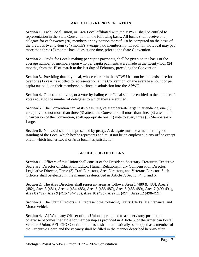# **ARTICLE 9 - REPRESENTATION**

Section 1. Each Local Union, or Area Local affiliated with the MPWU shall be entitled to representation in the State Convention on the following basis: All locals shall receive one delegate for each twenty (20) members or any portion thereof. To be computed on the basis of the previous twenty-four (24) month's average paid membership. In addition, no Local may pay more than three (3) months back dues at one time, prior to the State Convention.

**Section 2.** Credit for Locals making per capita payments, shall be given on the basis of the average number of members upon who per capita payments were made in the twenty-four (24) months, from the 1<sup>st</sup> of march to the last day of February, preceding the Convention.

**Section 3.** Providing that any local, whose charter in the APWU has not been in existence for over one (1) year, is entitled to representation at the Convention, on the average amount of per capita tax paid, on their membership, since its admission into the APWU.

**Section 4.** On a roll-call vote, or a vote-by-ballot; each Local shall be entitled to the number of votes equal to the number of delegates to which they are entitled.

**Section 5.** The Convention can, at its pleasure give Members-at-Large in attendance, one (1) vote provided not more than three (3) attend the Convention. If more than three (3) attend, the Chairperson of the Convention, shall appropriate one (1) vote to every three (3) Members-at-Large.

**Section 6.** No Local shall be represented by proxy. A delegate must be a member in good standing of the Local which he/she represents and must not be an employee in any office except one in which his/her Local or Area local has jurisdiction.

# **ARTICLE 10 - OFFICERS**

**Section 1.** Officers of this Union shall consist of the President, Secretary-Treasurer, Executive Secretary, Director of Education, Editor, Human Relations/Injury Compensation Director, Legislative Director, Three (3) Craft Directors, Area Directors, and Veterans Director. Such Officers shall be elected in the manner as described in Article 7, Section 4, 5, and 6.

**Section 2.** The Area Directors shall represent areas as follows: Area 1 (480 & 483), Area 2 (482), Area 3 (481), Area 4 (484-485), Area 5 (486-487), Area 6 (488-489), Area 7 (490-491), Area 8 (492), Area 9 (493-494-495), Area 10 (496), Area 11 (497), Area 12 (498-499).

**Section 3.** The Craft Directors shall represent the following Crafts: Clerks, Maintenance, and Motor Vehicle.

**Section 4.** [A] When any Officer of this Union is promoted to a supervisory position or otherwise becomes ineligible for membership as provided in Article 5, of the American Postal Workers Union, AFL-CIO Constitution, he/she shall automatically be dropped as a member of the Executive Board and the vacancy shall be filled in the manner described here-in-after.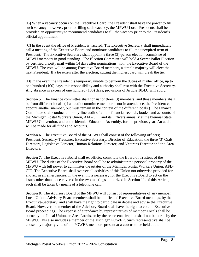[B] When a vacancy occurs on the Executive Board, the President shall have the power to fill such vacancy; however, prior to filling such vacancy, the MPWU Local Presidents shall be provided an opportunity to recommend candidates to fill the vacancy prior to the President's official appointment.

[C] In the event the office of President is vacated: The Executive Secretary shall immediately call a meeting of the Executive Board and nominate candidates to fill the unexpired term of President. The Executive Secretary shall appoint a three (3)-person election committee of MPWU members in good standing. The Election Committee will hold a Secret Ballot Election by certified priority mail within 14 days after nominations, with the Executive Board of the MPWU. The vote will be among Executive Board members, a simple majority will elect the next President. If a tie exists after the election, cutting the highest card will break the tie.

[D] In the event the President is temporary unable to perform the duties of his/her office, up to one hundred (100) days, this responsibility and authority shall rest with the Executive Secretary. Any absence in excess of one hundred (100) days, provisions of Article 10.4.C will apply.

**Section 5.** The Finance committee shall consist of three (3) members, and those members shall be from different locals. (if an audit committee member is not in attendance, the President can appoint another member, but must remain in the context of the different locals.) The Finance Committee shall conduct a line-by-line audit of all the financial records, books, and accounts of the Michigan Postal Workers Union, AFL-CIO, and its Officers annually at the biennial State MPWU Convention, and at the biennial Education Assembly, for the previous year. An audit will be made for all funds and accounts.

**Section 6.** The Executive Board of the MPWU shall consist of the following officers; President, Secretary-Treasurer, Executive Secretary, Director of Education, the three (3) Craft Directors, Legislative Director, Human Relations Director, and Veterans Director and the Area **Directors** 

**Section 7.** The Executive Board shall ex officio, constitute the Board of Trustees of the MPWU. The duties of the Executive Board shall be to administer the personal property of the MPWU with full power to administer the estates of the Michigan Postal Workers Union, AFL-CIO. The Executive Board shall oversee all activities of this Union not otherwise provided for, and act in all emergencies. In the event it is necessary for the Executive Board to act on the issues other than those covered in the two meetings authorized in Section 11, of this Article, such shall be taken by means of a telephone call.

**Section 8.** The Advisory Board of the MPWU will consist of representatives of any member Local Union. Advisory Board members shall be notified of Executive Board meetings, by the Executive-Secretary, and shall have the right to participate in debate and advise the Executive Board. However, no member of the Advisory Board shall have the right to vote in Executive Board proceedings. The expense of attendance by representatives of member Locals shall be borne by the Local Union, or Area Locals, or by the representative, but shall not be borne by the MPWU. This also includes a member of the Michigan POWER. Such representative shall be chosen by majority vote of the POWER members present at a caucus to be held at the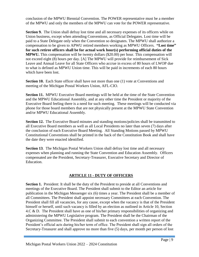conclusion of the MPWU Biennial Convention. The POWER representative must be a member of the MPWU and only the members of the MPWU can vote for the POWER representative.

**Section 9.** The Union shall defray lost time and all necessary expenses of its officers while on Union business, except when attending Conventions, as Official Delegates. Lost time will be paid to a State Delegate only when the Convention so designates. The MPWU shall authorize a compensation to be given to APWU retired members working as MPWU Officers. **"Lost time" for such retiree officers shall be for actual work hour(s) performing official duties of the MPWU.** This compensation will be twenty dollars (\$20.00) per hour. This compensation will not exceed eight (8) hours per day. [A] The MPWU will provide for reimbursement of Sick Leave and Annual Leave for all State Officers who accrue in excess of 80 hours of LWOP due to what is defined as MPWU Union time. This will be paid in increments of each 80 hours which have been lost.

**Section 10.** Each State officer shall have not more than one (1) vote at Conventions and meeting of the Michigan Postal Workers Union, AFL-CIO.

**Section 11.** MPWU Executive Board meetings will be held at the time of the State Convention and the MPWU Educational Assembly, and at any other time the President or majority of the Executive Board feeling there is a need for such meeting. These meetings will be conducted via phone for those board members that are not physically present at the MPWU State Convention and/or MPWU Educational Assembly.

**Section 12.** The Executive Board minutes and standing motions/policies shall be transmitted to all Executive Board members as well as all Local Presidents no later than seven (7) days after the conclusion of each Executive Board Meeting. All Standing Motions passed by MPWU Constitutional Conventions shall be printed in the back of the Constitution Book and shall have the date they were enacted identified.

**Section 13**. The Michigan Postal Workers Union shall defray lost time and all necessary expenses when planning and running the State Convention and Education Assembly. Officers compensated are the President, Secretary-Treasurer, Executive Secretary and Director of Education.

## **ARTICLE 11 - DUTY OF OFFICERS**

**Section 1.** President: It shall be the duty of the President to preside at all Conventions and meetings of the Executive Board. The President shall submit to the Editor an article for publication in the Michigan Messenger six (6) times a year. The President shall be a member of all Committees. The President shall appoint necessary Committees at each Convention. The President shall fill all vacancies, for any cause, except when the vacancy is that of the President himself or herself, until such vacancy is filled by an election as outlined in Article 10, Section 4.C & D. The President shall have as one of his/her primary responsibilities of organizing and administering the MPWU Legislative program. The President shall be the Chairman of the Organizing Committee. The President shall submit to each convention a written report of the President's official acts during his/her term of office. The President shall sign all orders of the Secretary-Treasurer and shall approve no more than five (5) days, per month per person of lost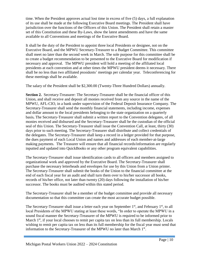time. When the President approves actual lost time in excess of five (5) days, a full explanation of its use shall be made at the following Executive Board meetings. The President shall have jurisdiction over the functions of the Officers of this Union. The President shall retain a master set of this Constitution and these By-Laws, show the latest amendments and have the same available to all Conventions and meetings of the Executive Board.

It shall be the duty of the President to appoint three local Presidents or designee, not on the Executive Board, and the MPWU Secretary-Treasurer to a Budget Committee. This committee shall meet no later than the second week in March. The sole purpose for this committee shall be to create a budget recommendation to be presented to the Executive Board for modification if necessary and approval. The MPWU president will hold a meeting of the affiliated local presidents at each convention and at other times the MPWU president deems it necessary. There shall be no less than two affiliated presidents' meetings per calendar year. Teleconferencing for these meetings shall be available.

The salary of the President shall be \$2,300.00 (Twenty-Three Hundred Dollars) annually.

**Section 2.** Secretary-Treasurer: The Secretary-Treasurer shall be the financial officer of this Union, and shall receive and deposit all monies received from any source in the name of the MPWU, AFL-CIO, in a bank under supervision of the Federal Deposit Insurance Company. The Secretary-Treasurer shall send the monthly financial statements, including income, expenses and dollar amount to the local presidents belonging to the state organization on a quarterly basis**.** The Secretary-Treasurer shall submit a written report to the Convention delegates, of all monies received and disbursed and the Secretary-Treasurer shall be the custodian of the official seal of this Union. The Secretary-Treasurer shall issue the Convention Call, at least, thirty (30) days prior to such meeting. The Secretary-Treasurer shall distribute and collect credentials of the delegates. The Secretary-Treasurer shall keep a record in a ledger provided for that purpose, the dues payment of each Local Union and names and addresses of each member-at-large making payments. The Treasurer will ensure that all financial records/information are regularly inputted and updated into QuickBooks or any other program equivalent capabilities.

The Secretary-Treasurer shall issue identification cards to all officers and members assigned to organizational work and approved by the Executive Board. The Secretary-Treasurer shall purchase the necessary letterheads and envelopes for use by this Union from a Union printer. The Secretary-Treasurer shall submit the books of the Union to the financial committee at the end of each fiscal year for an audit and shall turn them over to his/her successor all books, records of his/her office, not later than twenty (20) days following the installation of his/her successor. The books must be audited within this stated period.

The Secretary-Treasurer shall be a member of the budget committee and provide all necessary documentation so that this committee can create the most accurate budget possible.

The Secretary-Treasurer shall issue a letter each year on September 1<sup>st</sup>, and February 1<sup>st</sup>, to all local Presidents of the MPWU stating at least these words, "In order to operate the MPWU in a sound fiscal manner the Secretary-Treasurer of the MPWU is required to be informed prior to March  $1<sup>st</sup>$ , if your local chooses to remit per capita tax on less than its full membership. Locals wishing to remit per capita tax on less than its full membership for the fiscal year must send that information to the Secretary-Treasurer of the MPWU no later than March 1st.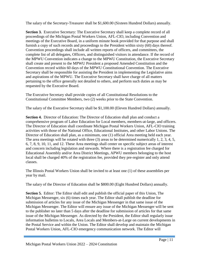The salary of the Secretary-Treasurer shall be \$1,600.00 (Sixteen Hundred Dollars) annually.

Section 3. Executive Secretary: The Executive Secretary shall keep a complete record of all proceedings of the Michigan Postal Workers Union, AFL-CIO, including Convention and meetings of the Executive Board, in a uniform minute book provided for that purpose and shall furnish a copy of such records and proceedings to the President within sixty (60) days thereof. Convention proceedings shall include all written reports of officers, and committees, the complete list of all delegates, Officers, and distinguished visitors in attendance. If the record of the MPWU Convention indicates a change to the MPWU Constitution, the Executive Secretary shall create and present to the MPWU President a proposed Amended Constitution and the Convention record within 60 days of the MPWU Constitutional Convention. The Executive Secretary shall be responsible for assisting the President in implementing the Legislative aims and aspirations of the MPWU. The Executive Secretary shall have charge of all matters pertaining to the office generally not detailed to others, and perform such duties as may be requested by the Executive Board.

The Executive Secretary shall provide copies of all Constitutional Resolutions to the Constitutional Committee Members, two (2) weeks prior to the State Convention.

The salary of the Executive Secretary shall be \$1,100.00 (Eleven Hundred Dollars) annually.

**Section 4.** Director of Education: The Director of Education shall plan and conduct a comprehensive program of Labor Education for Local members, members-at-large, and officers. The Director of Education shall coordinate Michigan Postal Workers Union, AFL-CIO training activities with those of the National Office, Educational Institutes, and other Labor Unions. The Director of Education shall plan, as a minimum, one (1) official Area meeting held each year. The area meetings will be rotated with three (3) areas to be determined numerically 1, 2, 3, 4, 5, 6, 7, 8, 9, 10, 11, and 12. These Area meetings shall center on specific subject areas of interest and concern including legislation and stewards. Where there is a registration fee charged for Educational Assembly and/or Area District Meetings, APWU members belonging to the host local shall be charged 40% of the registration fee, provided they pre-register and only attend classes.

The Illinois Postal Workers Union shall be invited to at least one (1) of these assemblies per year by mail.

The salary of the Director of Education shall be \$800.00 (Eight Hundred Dollars) annually.

**Section 5.** Editor: The Editor shall edit and publish the official paper of this Union, The Michigan Messenger, six (6) times each year. The Editor shall publish the deadline for submission of articles for any issue of the Michigan Messenger in that same issue of the Michigan Messenger. The Editor will ensure any issue of the Michigan Messenger will be sent to the publisher no later than 5 days after the deadline for submission of articles for that same issue of the Michigan Messenger. As directed by the President, the Editor shall regularly issue information bulletins to Locals, Area Locals and Members-at-Large on current developments in the Postal Service and within the Union. The Editor shall develop and maintain the Michigan Postal Workers Union, AFL-CIO emergency communication network. The Editor will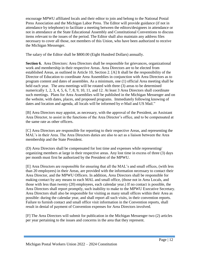encourage MPWU affiliated locals and their editor to join and belong to the National Postal Press Association and the Michigan Labor Press. The Editor will provide guidance (if not in attendance by telephone) to facilitate a meeting between the editors/designees in attendance or not in attendance at the State Educational Assembly and Constitutional Conventions to discuss items relevant to the issues of the period. The Editor shall also maintain any address files necessary to cover all those, not members of this Union, who have been authorized to receive the Michigan Messenger.

The salary of the Editor shall be \$800.00 (Eight Hundred Dollars) annually.

**Section 6.** Area Directors: Area Directors shall be responsible for grievances, organizational work and membership in their respective Areas. Area Directors are to be elected from established Areas, as outlined in Article 10, Section 2. [A] It shall be the responsibility of the Director of Education to coordinate Area Assemblies in conjunction with Area Directors as to program content and dates of assembles. As a minimum, one (1) official Area meeting shall be held each year. The area meetings will be rotated with three (3) areas to be determined numerically 1, 2, 3, 4, 5, 6, 7, 8, 9, 10, 11, and 12. At least 3 Area Directors shall coordinate such meetings. Plans for Area Assemblies will be published in the Michigan Messenger and on the website, with dates, places, and proposed programs. Immediately following knowing of dates and location and agenda, all locals will be informed by e-Mail and US Mail."

[B] Area Directors may appoint, as necessary, with the approval of the President, an Assistant Area Director, to assist in the functions of the Area Director's office, and to be compensated at the same rate as other officers.

[C] Area Directors are responsible for reporting to their respective Areas, and representing the MAL's in their Area. The Area Directors duties are also to act as a liaison between the Area membership and the State President.

(D) Area Directors shall be compensated for lost time and expenses while representing/ organizing members at large in their respective areas. Any lost time in excess of three (3) days per month must first be authorized by the President of the MPWU.

[E] Area Directors are responsible for ensuring that all the MAL's and small offices, (with less than 20 employees) in their Areas, are provided with the information necessary to contact their Area Director, and the MPWU Officers. In addition, Area Directors shall be responsible for making contact by any means to each MAL and small office, (those not in Area Locals, and those with less than twenty (20) employees, each calendar year.) If no contact is possible, the Area Directors shall report promptly, such inability to make to the MPWU Executive Secretary. Area Directors shall also be responsible for visiting as many small offices within their Area as possible: during the calendar year, and shall report all such visits, in their convention reports. Failure to furnish contact and small office visit information in the Convention reports, shall result in denial of payment of Convention expenses for Area Directors involved.

[F] The Area Directors will submit for publication in the Michigan Messenger two (2) articles per year pertaining to the issues and concerns in the area that they represent.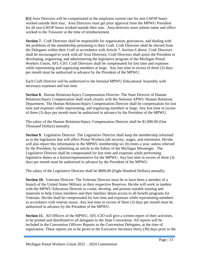**[G]** Area Directors will be compensated at the employee current rate for non-LWOP hours worked outside their tour. Area Directors must get prior approval from the MPWU President for all non-LWOP hours worked outside their tour. Area directors must submit name and office worked to the Treasurer at the time of reimbursement.

**Section 7.** Craft Directors shall be responsible for organization, grievances, and dealing with the problems of the membership pertaining to their Craft. Craft Directors shall be elected from the Delegates within their Craft in accordance with Article 7, Section 6 above. Craft Directors shall be encouraged to work with all Area Directors; Craft Directors shall assist the President in developing, organizing, and administering the legislative program of the Michigan Postal Workers Union, AFL-CIO. Craft Directors shall be compensated for lost time and expenses while representing and organizing members at large. Any lost time in excess of three (3) days per month must be authorized in advance by the President of the MPWU.

Each Craft Director will be authorized to the biennial MPWU Educational Assembly with necessary expenses and lost time.

**Section 8.** Human Relations/Injury Compensation Director: The State Director of Human Relations/Injury Compensation shall work closely with the National APWU Human Relations Department. The Human Relations/Injury Compensation Director shall be compensation for lost time and expenses while representing, and organizing members at large. Any lost time in excess of three (3) days per month must be authorized in advance by the President of the MPWU.

The salary of the Human Relations/Injury Compensation Director shall be \$1,000.00 (One Thousand Dollars) annually**.**

**Section 9.** Legislative Director: The Legislative Director shall keep the membership informed as to the legislation that will affect Postal Workers job security, wages, and retirement. He/she will also report this information to the MPWU membership six (6) times a year, unless relieved by the President, by submitting an article to the Editor of the Michigan Messenger. The Legislative Director shall be compensated for lost time and expenses while performing legislative duties as a liaison/representative for the MPWU. Any lost time in excess of three (3) days per month must be authorized in advance by the President of the MPWU.

The salary of the Legislative Director shall be \$800.00 (Eight Hundred Dollars) annually.

**Section 10.** Veterans Director: The Veterans Director must be or have been a member of a branch of the United States Military or their respective Reserves. He/she will work in tandem with the MPWU Education Director to create, develop, and present suitable training and materials to help Union members and their families obtain access to all benefit programs for Veterans. He/she shall be compensated for lost time and expenses while representing members in accordance with veteran issues. Any lost time in excess of three (3) days per month must be authorized in advance by the President of the MPWU.

**Section 11.** All Officers of the MPWU, AFL-CIO will give a written report of their activities, to be printed and distributed to all delegates to the State Convention. All reports will be included in the Convention Officers Reports to the Convention Delegates, at the time of registration. These reports are to be given to the Executive Secretary thirty (30) days prior to the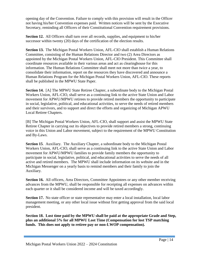opening day of the Convention. Failure to comply with this provision will result in the Officer not having his/her Convention expenses paid. Written notices will be sent by the Executive Secretary, reminding all Officers of their Constitutional Convention requirement provisions.

**Section 12.** All Officers shall turn over all records, supplies, and equipment to his/her successor within twenty (20) days of the certification of the election results.

**Section 13.** The Michigan Postal Workers Union, AFL-CIO shall establish a Human Relations Committee, consisting of the Human Relations Director and two (2) Area Directors as appointed by the Michigan Postal Workers Union, AFL-CIO President. This Committee shall coordinate resources available in their various areas and act as clearinghouse for this information. The Human Relations Committee shall meet not more than twice a year, to consolidate their information, report on the resources they have discovered and announce a Human Relations Program for the Michigan Postal Workers Union, AFL-CIO. These reports shall be published in the MPWU State Paper.

**Section 14.** [A] The MPWU State Retiree Chapter, a subordinate body to the Michigan Postal Workers Union, AFL-CIO, shall serve as a continuing link to the active State Union and Labor movement for APWU/MPWU retirees to provide retired members the opportunity to participate in social, legislative, political, and educational activities, to serve the needs of retired members and their survivors, and to support and direct the efforts and organizing of Michigan APWU Local Retiree Chapters.

[B] The Michigan Postal Workers Union, AFL-CIO, shall support and assist the MPWU State Retiree Chapter in carrying out its objectives to provide retired members a strong, continuing voice in this Union and Labor movement, subject to the requirement of the MPWU Constitution and By-Laws.

**Section 15.** Auxiliary. The Auxiliary Chapter, a subordinate body to the Michigan Postal Workers Union, AFL-CIO, shall serve as a continuing link to the active State Union and Labor movement for APWU/MPWU families to provide family members the opportunity to participate in social, legislative, political, and educational activities to serve the needs of all active and retired members. The MPWU shall include information on its website and in the Michigan Messenger on a yearly basis to remind members and their family to join the Auxiliary.

**Section 16.** All officers, Area Directors, Committee Appointees or any other member receiving advances from the MPWU, shall be responsible for receipting all expenses on advances within each quarter or it shall be considered income and will be taxed accordingly.

**Section 17.** No state officer or state representative may enter a local installation, local labor management meeting, or any other local issue without first getting approval from the said local president.

**Section 18. Lost time paid by the MPWU shall be paid at the appropriate Grade and Step, plus an additional 5% for all MPWU Lost Time (Compensation for lost TSP matching funds. This does not apply to retiree pay or non-LWOP compensation).**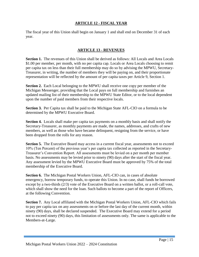# **ARTICLE 12 - FISCAL YEAR**

The fiscal year of this Union shall begin on January 1 and shall end on December 31 of each year.

## **ARTICLE 13 - REVENUES**

Section 1. The revenues of this Union shall be derived as follows: All Locals and Area Locals \$1.00 per member, per month, with no per capita cap. Locals or Area Locals choosing to remit per capita tax on less than their full membership may do so by advising the MPWU, Secretary-Treasurer, in writing, the number of members they will be paying on, and their proportionate representation will be reflected by the amount of per capita taxes per Article 9, Section 1.

**Section 2.** Each Local belonging to the MPWU shall receive one copy per member of the Michigan Messenger, providing that the Local pays on full membership and furnishes an updated mailing list of their membership to the MPWU State Editor, or to the local dependent upon the number of paid members from their respective locals.

**Section 3.** Per Capita tax shall be paid to the Michigan State AFL-CIO on a formula to be determined by the MPWU Executive Board.

**Section 4.** Locals shall make per capita tax payments on a monthly basis and shall notify the Secretary-Treasurer, as monthly payments are made, the names, addresses, and crafts of new members, as well as those who have became delinquent, resigning from the service, or have been dropped from the rolls for any reason.

**Section 5.** The Executive Board may access in a current fiscal year, assessments not to exceed 10% (Ten Percent) of the previous year's per capita tax collected as reported in the Secretary-Treasurer's Convention Report. All assessments must be levied on a per month per member basis. No assessments may be levied prior to ninety (90) days after the start of the fiscal year. Any assessment levied by the MPWU Executive Board must be approved by 75% of the total membership of the Executive Board.

**Section 6.** The Michigan Postal Workers Union, AFL-CIO can, in cases of absolute emergency, borrow temporary funds, to operate this Union. In no case, shall funds be borrowed except by a two-thirds (2/3) vote of the Executive Board on a written ballot, or a roll-call vote, which shall show the need for the loan. Such ballots to become a part of the report of Officers, at the following Convention.

**Section 7.** Any Local affiliated with the Michigan Postal Workers Union, AFL-CIO which fails to pay per capita tax on any assessments on or before the last day of the current month, within ninety (90) days, shall be declared suspended. The Executive Board may extend for a period not to exceed ninety (90) days, this limitation of assessments only. The same is applicable to the Members-at-Large.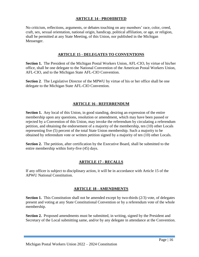## **ARTICLE 14 - PROHIBITED**

No criticism, reflections, arguments, or debates touching on any members' race, color, creed, craft, sex, sexual orientation, national origin, handicap, political affiliation, or age, or religion, shall be permitted at any State Meeting, of this Union, nor published in the Michigan Messenger.

### **ARTICLE 15 - DELEGATES TO CONVENTIONS**

**Section 1.** The President of the Michigan Postal Workers Union, AFL-CIO, by virtue of his/her office, shall be one delegate to the National Convention of the American Postal Workers Union, AFL-CIO, and to the Michigan State AFL-CIO Convention.

**Section 2**. The Legislative Director of the MPWU by virtue of his or her office shall be one delegate to the Michigan State AFL-CIO Convention.

### **ARTICLE 16 - REFERRENDUM**

**Section 1.** Any local of this Union, in good standing, desiring an expression of the entire membership upon any questions, resolution or amendment, which may have been passed or rejected by a Convention of this Union, may invoke the referendum by circulating a referendum petition, and obtaining the endorsement of a majority of the membership, ten (10) other Locals representing five (5) percent of the total State Union membership. Such a majority to be obtained by referendum vote or written petition signed by a majority of ten (10) other Locals.

**Section 2.** The petition, after certification by the Executive Board, shall be submitted to the entire membership within forty-five (45) days.

### **ARTICLE 17 - RECALLS**

If any officer is subject to disciplinary action, it will be in accordance with Article 15 of the APWU National Constitution.

### **ARTICLE 18 - AMENDMENTS**

**Section 1.** This Constitution shall not be amended except by two-thirds (2/3) vote, of delegates present and voting at any State Constitutional Convention or by a referendum vote of the whole membership.

**Section 2.** Proposed amendments must be submitted, in writing, signed by the President and Secretary of the Local submitting same, and/or by any delegate in attendance at the Convention.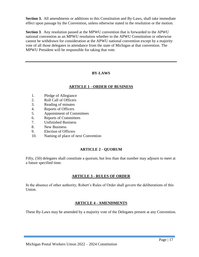**Section 3.** All amendments or additions to this Constitution and By-Laws, shall take immediate effect upon passage by the Convention, unless otherwise stated in the resolution or the motion.

**Section 3**. Any resolution passed at the MPWU convention that is forwarded to the APWU national convention as an MPWU resolution whether to the APWU Constitution or otherwise cannot be withdrawn for consideration at the APWU national convention except by a majority vote of all those delegates in attendance from the state of Michigan at that convention. The MPWU President will be responsible for taking that vote.

# **BY-LAWS**

# **ARTICLE 1 - ORDER OF BUSINESS**

- 1. Pledge of Allegiance
- 2. Roll Call of Officers
- 3. Reading of minutes
- 4. Reports of Officers
- 5. Appointment of Committees
- 6. Reports of Committees
- 7. Unfinished Business
- 8. New Business
- 9. Election of Officers
- 10. Naming of place of next Convention

## **ARTICLE 2 - QUORUM**

Fifty, (50) delegates shall constitute a quorum, but less than that number may adjourn to meet at a future specified time.

## **ARTICLE 3 - RULES OF ORDER**

In the absence of other authority, Robert's Rules of Order shall govern the deliberations of this Union.

## **ARTICLE 4 - AMENDMENTS**

These By-Laws may be amended by a majority vote of the Delegates present at any Convention.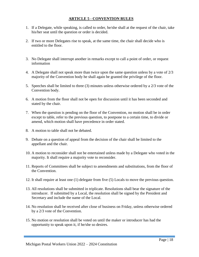# **ARTICLE 5 - CONVENTION RULES**

- 1. If a Delegate, while speaking, is called to order, he/she shall at the request of the chair, take his/her seat until the question or order is decided.
- 2. If two or more Delegates rise to speak, at the same time, the chair shall decide who is entitled to the floor.
- 3. No Delegate shall interrupt another in remarks except to call a point of order, or request information
- 4. A Delegate shall not speak more than twice upon the same question unless by a vote of 2/3 majority of the Convention body he shall again be granted the privilege of the floor.
- 5. Speeches shall be limited to three (3) minutes unless otherwise ordered by a 2/3 vote of the Convention body.
- 6. A motion from the floor shall not be open for discussion until it has been seconded and stated by the chair.
- 7. When the question is pending on the floor of the Convention, no motion shall be in order except to table, refer to the previous question, to postpone to a certain time, to divide or amend, which motion shall have precedence in order stated.
- 8. A motion to table shall not be debated.
- 9. Debate on a question of appeal from the decision of the chair shall be limited to the appellant and the chair.
- 10. A motion to reconsider shall not be entertained unless made by a Delegate who voted in the majority. It shall require a majority vote to reconsider.
- 11. Reports of Committees shall be subject to amendments and substitutions, from the floor of the Convention.
- 12. It shall require at least one (1) delegate from five (5) Locals to move the previous question.
- 13. All resolutions shall be submitted in triplicate. Resolutions shall bear the signature of the introducer. If submitted by a Local, the resolution shall be signed by the President and Secretary and include the name of the Local.
- 14. No resolution shall be received after close of business on Friday, unless otherwise ordered by a 2/3 vote of the Convention.
- 15. No motion or resolution shall be voted on until the maker or introducer has had the opportunity to speak upon it, if he/she so desires.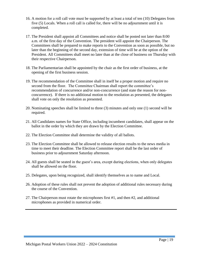- 16. A motion for a roll call vote must be supported by at least a total of ten (10) Delegates from five (5) Locals. When a roll call is called for, there will be no adjournment until it is completed.
- 17. The President shall appoint all Committees and notice shall be posted not later than 8:00 a.m. of the first day of the Convention. The president will appoint the Chairperson. The Committees shall be prepared to make reports to the Convention as soon as possible, but no later than the beginning of the second day, extension of time will be at the option of the President. All Committees shall meet no later than at the close of business on Thursday with their respective Chairperson.
- 18. The Parliamentarian shall be appointed by the chair as the first order of business, at the opening of the first business session.
- 19. The recommendation of the Committee shall in itself be a proper motion and require no second from the floor. The Committee Chairman shall report the committee's recommendation of concurrence and/or non-concurrence (and state the reason for nonconcurrence). If there is no additional motion to the resolution as presented, the delegates shall vote on only the resolution as presented.
- 20. Nominating speeches shall be limited to three (3) minutes and only one (1) second will be required.
- 21. All Candidates names for State Office, including incumbent candidates, shall appear on the ballot in the order by which they are drawn by the Election Committee.
- 22. The Election Committee shall determine the validity of all ballots.
- 23. The Election Committee shall be allowed to release election results to the news media in time to meet their deadline. The Election Committee report shall be the last order of business prior to adjournment Saturday afternoon.
- 24. All guests shall be seated in the guest's area, except during elections, when only delegates shall be allowed on the floor.
- 25. Delegates, upon being recognized, shall identify themselves as to name and Local.
- 26. Adoption of these rules shall not prevent the adoption of additional rules necessary during the course of the Convention.
- 27. The Chairperson must rotate the microphones first #1, and then #2, and additional microphones as provided in numerical order.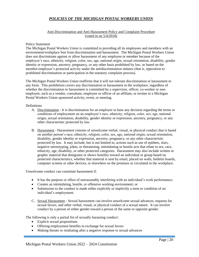# *POLICIES OF THE MICHIGAN POSTAL WORKERS UNION*

### Anti-Discrimination and Anti-Harassment Policy and Complaint Procedure (voted in on 5/4/2018)

#### Policy Statement

The Michigan Postal Workers Union is committed to providing all its employees and members with an environment/workplace free from discrimination and harassment. The Michigan Postal Workers Union does not discriminate against or allow harassment of any employee or member because of the employee's race, ethnicity, religion, color, sex, age, national origin, sexual orientation, disability, gender identity or expression, ancestry, pregnancy, or any other basis prohibited by law, or based on the member/employee's protected activity under the antidiscrimination statutes (that is, opposition to prohibited discrimination or participation in the statutory complaint process).

The Michigan Postal Workers Union reaffirms that it will not tolerate discrimination or harassment in any form. This prohibition covers any discrimination or harassment in the workplace, regardless of whether the discrimination or harassment is committed by a supervisor, officer, co-worker or nonemployee, such as a vendor, consultant, employee or officer of an affiliate, or invitee to a Michigan Postal Workers Union sponsored activity, event, or meeting.

#### **Definitions**

- A. Discrimination It is discrimination for an employer to base any decision regarding the terms or conditions of employment on an employee's race, ethnicity, religion, color, sex, age, national origin, sexual orientation, disability, gender identity or expression, ancestry, pregnancy, or any other characteristic protected by law.
- B. Harassment Harassment consists of unwelcome verbal, visual, or physical conduct that is based on another person's race, ethnicity, religion, color, sex, age, national origin, sexual orientation, disability, gender identity or expression, ancestry, pregnancy, or any other characteristic protected by law. It may include, but is not limited to, actions such as use of epithets, slurs, negative stereotyping, jokes, or threatening, intimidating or hostile acts that relate to sex, race, ethnicity, age, disability, or other protected categories. Harassment may also include written or graphic material that denigrates or shows hostility toward an individual or group based on protected characteristics, whether that material is sent by email, placed on walls, bulletin boards, computer screens or other devices, or elsewhere on the premises or circulated in the workplace.

Unwelcome conduct can constitute harassment if:

- It has the purpose or effect of unreasonably interfering with an individual's work performance;
- Creates an intimidating, hostile, or offensive working environment; or
- Submission to the conduct is made either explicitly or implicitly a term or condition of an individual's employment.
- C. Sexual Harassment Sexual harassment can involve unwelcome sexual advances, requests for sexual favors, and other verbal, visual, or physical conduct of a sexual nature. It can involve conduct by a person of either gender toward a person of the same or opposite gender.

The following is only a partial list of sexually harassing conduct:

- Explicit sexual propositions
- Offering employment benefits in exchange for sexual favors
- Making threats or retaliating after a negative response to sexual advances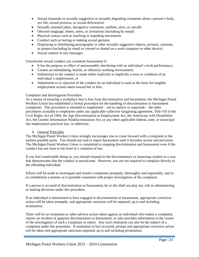- Sexual innuendo or sexually suggestive or sexually degrading comments about a person's body, sex life, sexual prowess, or sexual deficiencies
- Sexually oriented jokes, derogatory comments, epithets, slurs, or catcalls
- Obscene language, letters, notes, or invitations (including by email)
- Physical contact such as touching or impeding movements
- Conduct such as leering or making sexual gestures
- Displaying or distributing pornography or other sexually suggestive objects, pictures, cartoons, or posters (including by email or viewed or shared on a work computer or other device)
- Sexual content in text messages

Unwelcome sexual conduct can constitute harassment if:

- It has the purpose or effect of unreasonably interfering with an individual's work performance;
- Creates an intimidating, hostile, or offensive working environment;
- Submission to the conduct is made either explicitly or implicitly a term or condition of an individual's employment; or
- Submission to or rejection of the conduct by an individual is used as the basis for tangible employment actions taken toward her or him.

#### Complaint and Investigation Procedure

As a means of ensuring a workplace that is free from discrimination and harassment, the Michigan Postal Workers Union has established a formal procedure for the handling of discrimination or harassment complaints. This procedure is intended to supplement – not to replace or supersede – the other procedures available to employees under any applicable collective bargaining agreement, Title VII of the Civil Rights Act of 1964, the Age Discrimination in Employment Act, the Americans with Disabilities Act, the Genetic Information Nondiscrimination Act, or any other applicable federal, state, or municipal fair employment practices law, or otherwise.

### A. General Principles

The Michigan Postal Workers Union strongly encourages you to come forward with a complaint at the earliest possible point. You should not wait to report harassment until it becomes severe and pervasive. The Michigan Postal Workers Union is committed to stopping discrimination and harassment even if the conduct has not risen to the level of a violation of law.

If you feel comfortable doing so, you should respond to the discriminatory or harassing conduct in a way that demonstrates that the conduct is unwelcome. However, you are not required to complain directly to the offending individual.

Efforts will be made to investigate and resolve complaints promptly, thoroughly and impartially, and in as confidential a manner as is possible consistent with proper investigation of the complaint.

If a person is accused of discrimination or harassment, he or she shall not play any role in administering or making decisions under this procedure.

If an individual is determined to have engaged in discrimination or harassment, appropriate corrective action will be taken promptly, and appropriate sanctions will be imposed, up to and including termination.

There will be no retaliation or other adverse action taken against an individual who makes a complaint, reports an incident of apparent discrimination or harassment, or who provides information in the course of the investigation of such a complaint or report. Any such retaliation can also be the subject of a complaint under this procedure. If retaliation in fact occurred, prompt and appropriate corrective action will be taken and appropriate sanctions imposed, up to and including termination.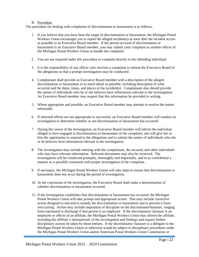### B. Procedure

The procedure for dealing with complaints of discrimination or harassment is as follows:

- 1. If you believe that you have been the target of discrimination or harassment, the Michigan Postal Workers Union encourages you to report the alleged incident(s) as soon after the incident occurs as possible to an Executive Board member. If the person accused of discrimination or harassment is an Executive Board member, you may submit your complaint to another officer of the Michigan Postal Workers Union to handle the complaint.
- 2. You are not required under this procedure to complain directly to the offending individual.
- 3. It is the responsibility of any officer who receives a complaint to inform the Executive Board of the allegations so that a prompt investigation may be conducted.
- 4. Complainant shall provide an Executive Board member with a description of the alleged discrimination or harassment in as much detail as possible, including description of what occurred and the dates, times, and places of the incident(s). Complainant also should provide the names of individuals who he or she believes have information relevant to the investigation. An Executive Board member may request that this information be provided in writing.
- 5. Where appropriate and possible, an Executive Board member may attempt to resolve the matter informally.
- 6. If informal efforts are not appropriate or successful, an Executive Board member will conduct an investigation to determine whether or not discrimination or harassment has occurred.
- 7. During the course of the investigation, an Executive Board member will inform the individual alleged to have engaged in discrimination or harassment of the complaint, and will give her or him the opportunity to respond to the allegations and to submit the names of individuals who she or he believes have information relevant to the investigation.
- 8. The investigation may include meeting with the complainant, the accused, and other individuals who may have relevant information. Relevant documents may also be reviewed. The investigation will be conducted promptly, thoroughly and impartially, and in as confidential a manner as is possible consistent with proper investigation of the complaint.
- 9. If necessary, the Michigan Postal Workers Union will take steps to ensure that discrimination or harassment does not occur during the period of investigation.
- 10. At the conclusion of the investigation, the Executive Board shall make a determination of whether discrimination or harassment occurred.
- 11. If the investigation establishes that discrimination or harassment has occurred, the Michigan Postal Workers Union will take prompt and appropriate action. This may include corrective action designed to end and to remedy the discrimination or harassment and to prevent it from reoccurring. Action may include imposition of discipline on the discriminator/harasser, ranging from reprimand to discharge if that person is an employee. If the discriminator/ harasser is an employee or officer of an affiliate, the Michigan Postal Workers Union may inform the affiliate, including the affiliate's international, of the investigation and findings and request further disciplinary actions be taken by those entities. If the discriminator/ harasser is a delegate to the Michigan Postal Workers Union or otherwise would be subject to disciplinary procedures under the Michigan Postal Workers Union and/or American Postal Workers Union Constitution or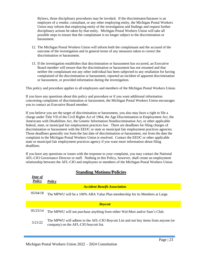Bylaws, those disciplinary procedures may be invoked. If the discriminator/harasser is an employee of a vendor, consultant, or any other employing entity, the Michigan Postal Workers Union may inform that employing entity of the investigation and findings and request further disciplinary actions be taken by that entity. Michigan Postal Workers Union will take all possible steps to ensure that the complainant is no longer subject to the discrimination or harassment.

- 12. The Michigan Postal Workers Union will inform both the complainant and the accused of the outcome of the investigation and in general terms of any measures taken to correct the discrimination or harassment.
- 13. If the investigation establishes that discrimination or harassment has occurred, an Executive Board member will ensure that the discrimination or harassment has not resumed and that neither the complainant not any other individual has been subjected to any retaliation for having complained of the discrimination or harassment, reported an incident of apparent discrimination or harassment, or provided information during the investigation.

This policy and procedure applies to all employees and members of the Michigan Postal Workers Union.

If you have any questions about this policy and procedure or if you want additional information concerning complaints of discrimination or harassment, the Michigan Postal Workers Union encourages you to contact an Executive Board member.

If you believe you are the target of discrimination or harassment, you also may have a right to file a charge under Title VII of the Civil Rights Act of 1964, the Age Discrimination in Employment Act, the Americans with Disabilities Act, the Genetic Information Nondiscrimination Act, or other applicable federal, state, or municipal fair employment practices law. There are deadlines for filing charges of discrimination or harassment with the EEOC or state or municipal fair employment practices agencies. Those deadlines generally run from the last date of discrimination or harassment, not from the date the complaint to the Michigan Postal Workers Union is resolved. Contact the EEOC or other applicable state or municipal fair employment practices agency if you want more information about filing deadlines.

If you have any questions or issues with the response to your complaint, you may contact the National AFL-CIO Governance Director or staff. Nothing in this Policy, however, shall create an employment relationship between the AFL-CIO and employees or members of the Michigan Postal Workers Union.

## **Standing Motions/Policies**

| Date of<br>Policy | Policy                                                                                                                      |
|-------------------|-----------------------------------------------------------------------------------------------------------------------------|
|                   | <b>Accident Benefit Association</b>                                                                                         |
| 05/04/18          | The MPWU will be a 100% ABA Value Plan membership for its Members at Large.                                                 |
|                   | <b>Boycott</b>                                                                                                              |
| 05/23/14          | The MPWU will not purchase anything from either Wal-Mart and/or Sam's Club.                                                 |
| 5/21/22           | The MPWU will adhere to the AFL-CIO Boycott List and not buy items from anyone (or<br>company) on the AFL-CIO boycott list. |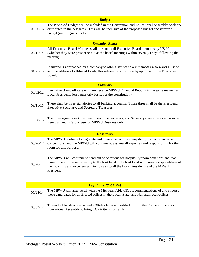| <b>Budget</b> |                                                                                                                                                                                                                                                                                                 |  |  |  |
|---------------|-------------------------------------------------------------------------------------------------------------------------------------------------------------------------------------------------------------------------------------------------------------------------------------------------|--|--|--|
| 05/20/16      | The Proposed Budget will be included in the Convention and Educational Assembly book and<br>distributed to the delegates. This will be inclusive of the proposed budget and itemized<br>budget (out of QuickBooks)                                                                              |  |  |  |
|               | <b>Executive Board</b>                                                                                                                                                                                                                                                                          |  |  |  |
| 03/11/14      | All Executive Board Minutes shall be sent to all Executive Board members by US Mail<br>(whether they were present or not at the board meeting) within seven (7) days following the<br>meeting.                                                                                                  |  |  |  |
| 04/25/13      | If anyone is approached by a company to offer a service to our members who wants a list of<br>and the address of affiliated locals, this release must be done by approval of the Executive<br>Board.                                                                                            |  |  |  |
|               | <b>Fiduciary</b>                                                                                                                                                                                                                                                                                |  |  |  |
| 06/02/12      | Executive Board officers will now receive MPWU Financial Reports in the same manner as<br>Local Presidents (on a quarterly basis, per the constitution)                                                                                                                                         |  |  |  |
| 09/11/15      | There shall be three signatories to all banking accounts. Those three shall be the President,<br>Executive Secretary, and Secretary-Treasurer.                                                                                                                                                  |  |  |  |
| 10/30/15      | The three signatories (President, Executive Secretary, and Secretary-Treasurer) shall also be<br>issued a Credit Card to use for MPWU Business only.                                                                                                                                            |  |  |  |
|               | <b>Hospitality</b>                                                                                                                                                                                                                                                                              |  |  |  |
| 05/26/17      | The MPWU continue to negotiate and obtain the room for hospitality for conferences and<br>conventions, and the MPWU will continue to assume all expenses and responsibility for the<br>room for this purpose.                                                                                   |  |  |  |
| 05/26/17      | The MPWU will continue to send out solicitations for hospitality room donations and that<br>those donations be sent directly to the host local. The host local will provide a spreadsheet of<br>the incoming and expenses within 45 days to all the Local Presidents and the MPWU<br>President. |  |  |  |
|               |                                                                                                                                                                                                                                                                                                 |  |  |  |
|               | <b>Legislative (&amp; COPA)</b>                                                                                                                                                                                                                                                                 |  |  |  |
| 05/24/14      | The MPWU will align itself with the Michigan AFL-CIOs recommendations of and endorse<br>those candidates for all Elected offices in the Local, State, and National races/offices.                                                                                                               |  |  |  |
| 06/02/12      | To send all locals a 90-day and a 30-day letter and e-Mail prior to the Convention and/or<br>Educational Assembly to bring COPA items for raffle.                                                                                                                                               |  |  |  |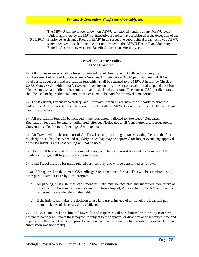### *Vendors @ Conventions/Conferences/Assembly, etc.*

The MPWU will no longer allow non-APWU sanctioned vendors at any MPWU event (Unless approved by the MPWU Executive Board to have a table) with the exception of the Employee Assistance Program (EAP) in all respective geographical areas. Allowed APWU

5/26/2017 sanctioned vendors shall include, but not limited to the APWU Health Plan, Voluntary Benefits Association, Accident Benefit Association, Auxiliary, etc.

#### **Travel and Expense Policy** as of 11/14/2017

1) All monies received shall be for union related travel. Any travel not fulfilled shall require reimbursement of unused US Government Services Administration (GSA) per diem, any unfulfilled hotel costs, travel costs and registration fees which shall be returned to the MPWU in full, by Check or USPS Money Order within two (2) weeks of conclusion of said event or resolution of disputed decision. Monies not used and failed to be remitted shall be declared as income. The current GSA per diem rates shall be used to figure the total amount of Per Diem to be paid for the travel-time period.

2) The President, Executive Secretary, and Secretary-Treasurer will have the authority to purchase and/or hold Airline Tickets, Hotel Reservations, etc. with the MPWU's credit card, per the MPWU Bank Credit Card Policy.

3) All registration fees will be included in the total amount allotted to Attendees / Delegates. Registration fees will be paid for authorized Attendees/Delegates to all Constitutional and Educational Conventions, Conferences, Meetings, Seminars, etc.

4) Air Travel will be the total cost of Air Travel (coach) including all taxes, seating fees and the first regularly priced bag fee. A second regularly priced bag may be approved for longer events, by approval of the President. First Class seating will not be used.

5) Hotels will be the total cost of room and taxes, to include any resort fees and check in fees. All incidental charges will be paid for by the individual*.* 

6) Land Travel must be for union related business only and will be determined as follows:

 a) Mileage will be the current GSA mileage rate at the time of travel. This will be submitted using MapQuest or similar (turn by turn) program.

- b) All parking, buses, shuttles, cabs, monorails, etc. must be receipted and submitted upon return of travel for reimbursement. Travel examples: Home-Airport, Airport-Hotel, Hotel-Meeting and to represent the membership in the field.
- c) If the individual makes the decision to use land travel instead of air travel, the local will pay them the lesser of the costs. Air vs Mileage

7) All Lost Time will be submitted biweekly and Expenses will be submitted within sixty (60) days. Failure to comply will make these payments subject to the approval or disapproval of submitted time and expenses by the Executive Board prior to payment (with an explanation by the submitter as to why their submission was not timely)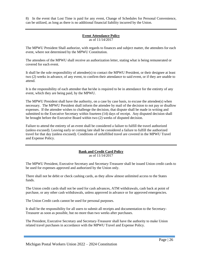8) In the event that Lost Time is paid for any event, Change of Schedules for Personal Convenience, can be utilized, as long as there is no additional financial liability incurred by the Union.

### **Event Attendance Policy** as of 11/14/2017

The MPWU President Shall authorize, with regards to finances and subject matter, the attendees for each event, where not determined by the MPWU Constitution.

The attendees of the MPWU shall receive an authorization letter, stating what is being remunerated or covered for each event.

It shall be the sole responsibility of attendee(s) to contact the MPWU President, or their designee at least two (2) weeks in advance, of any event, to confirm their attendance to said event, or if they are unable to attend.

It is the responsibility of each attendee that he/she is required to be in attendance for the entirety of any event, which they are being paid, by the MPWU.

The MPWU President shall have the authority, on a case by case basis, to excuse the attendee(s) when necessary. The MPWU President shall inform the attendee by mail of the decision to not pay or disallow expenses. If the attendee wishes to challenge the decision, that dispute shall be made in writing and submitted to the Executive Secretary within fourteen (14) days of receipt. Any disputed decision shall be brought before the Executive Board within two (2) weeks of disputed decision.

Failure to attend the entirety of an event shall be considered a failure to fulfill the travel authorized (unless excused). Leaving early or coming late shall be considered a failure to fulfill the authorized travel for that day (unless excused). Conditions of unfulfilled travel are covered in the MPWU Travel and Expense Policy.

### **Bank and Credit Card Policy** as of 11/14/2017

The MPWU President, Executive Secretary and Secretary-Treasurer shall be issued Union credit cards to be used for expenses approved and authorized by the Union only.

There shall not be debit or check cashing cards, as they allow almost unlimited access to the States funds.

The Union credit cards shall not be used for cash advances, ATM withdrawals, cash back at point of purchase, or any other cash withdrawals, unless approved in advance or for approved emergencies.

The Union Credit cards cannot be used for personal purposes.

It shall be the responsibility for all users to submit all receipts and documentation to the Secretary-Treasurer as soon as possible, but no more than two weeks after purchases.

The President, Executive Secretary and Secretary-Treasurer shall have the authority to make Union related travel purchases in accordance with the MPWU Travel and Expense Policy.